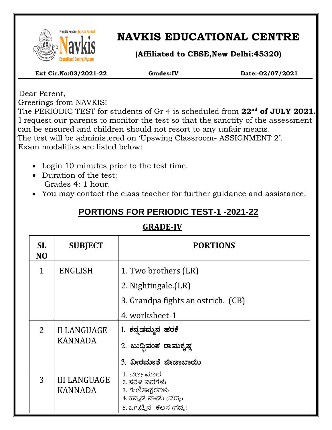

 $\overline{\phantom{a}}$ 

# **NAVKIS EDUCATIONAL CENTRE**

**(Affiliated to CBSE,New Delhi:45320)**

 **Ext Cir.No:03/2021-22 Grades:IV Date:-02/07/2021**

 Dear Parent, Greetings from NAVKIS!

 The PERIODIC TEST for students of Gr 4 is scheduled from **22nd of JULY 2021.** I request our parents to monitor the test so that the sanctity of the assessment can be ensured and children should not resort to any unfair means. The test will be administered on 'Upswing Classroom- ASSIGNMENT 2'. Exam modalities are listed below:

- Login 10 minutes prior to the test time.
- Duration of the test: Grades 4: 1 hour.
- You may contact the class teacher for further guidance and assistance.

## **PORTIONS FOR PERIODIC TEST-1 -2021-22**

### **GRADE-IV**

| SL.<br>N <sub>O</sub> | <b>SUBJECT</b>                        | <b>PORTIONS</b>                                                         |  |
|-----------------------|---------------------------------------|-------------------------------------------------------------------------|--|
| 1                     | <b>ENGLISH</b>                        | 1. Two brothers (LR)                                                    |  |
|                       |                                       | 2. Nightingale.(LR)                                                     |  |
|                       |                                       | 3. Grandpa fights an ostrich. (CB)                                      |  |
|                       |                                       | 4. worksheet-1                                                          |  |
| 2                     | <b>II LANGUAGE</b><br><b>KANNADA</b>  | 1. ಕನ್ನಡಮ್ಮನ ಹರಕೆ                                                       |  |
|                       |                                       | 2. ಬುದ್ಧಿವಂತ ರಾಮಕೃಷ್ಣ                                                   |  |
|                       |                                       | 3. ವೀರಮಾತೆ ಜೀಜಾಬಾಯಿ                                                     |  |
| 3                     | <b>III LANGUAGE</b><br><b>KANNADA</b> | 1. ವರ್ಣಮಾಲೆ<br>2. ಸರಳ ಪದಗಳು<br>3. ಗುಣಿತಾಕ್ಷರಗಳು<br>4. ಕನ್ನಡ ನಾಡು (ಪದ್ಯ) |  |
|                       |                                       | 5. ಒಗ್ಮಟ್ಟಿನ  ಕೆಲಸ (ಗದ್ಯ)                                               |  |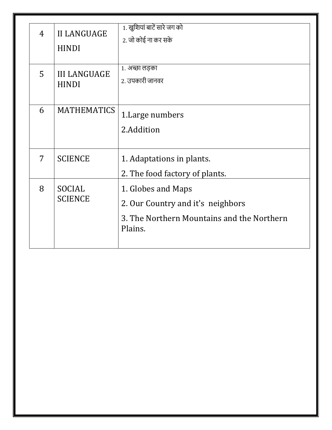| 4 | <b>II LANGUAGE</b><br><b>HINDI</b>  | 1. खुशियां बाटें सारे जग को<br>2. जो कोई ना कर सके                                                               |
|---|-------------------------------------|------------------------------------------------------------------------------------------------------------------|
| 5 | <b>III LANGUAGE</b><br><b>HINDI</b> | 1. अच्छा लड़का<br>2. उपकारी जानवर                                                                                |
| 6 | <b>MATHEMATICS</b>                  | 1. Large numbers<br>2.Addition                                                                                   |
| 7 | <b>SCIENCE</b>                      | 1. Adaptations in plants.<br>2. The food factory of plants.                                                      |
| 8 | <b>SOCIAL</b><br><b>SCIENCE</b>     | 1. Globes and Maps<br>2. Our Country and it's neighbors<br>3. The Northern Mountains and the Northern<br>Plains. |